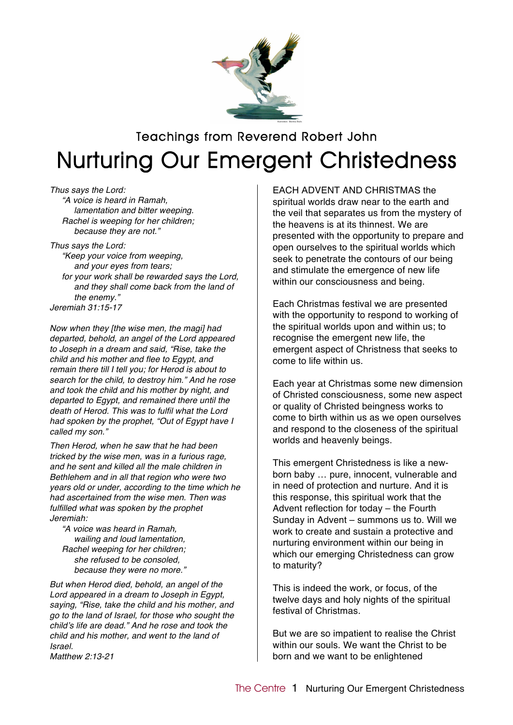

# Teachings from Reverend Robert John Nurturing Our Emergent Christedness

*Thus says the Lord: "A voice is heard in Ramah, lamentation and bitter weeping. Rachel is weeping for her children; because they are not."*

*Thus says the Lord: "Keep your voice from weeping, and your eyes from tears; for your work shall be rewarded says the Lord, and they shall come back from the land of the enemy." Jeremiah 31:15-17*

*Now when they [the wise men, the magi] had departed, behold, an angel of the Lord appeared to Joseph in a dream and said, "Rise, take the child and his mother and flee to Egypt, and remain there till I tell you; for Herod is about to search for the child, to destroy him." And he rose and took the child and his mother by night, and departed to Egypt, and remained there until the death of Herod. This was to fulfil what the Lord had spoken by the prophet, "Out of Egypt have I called my son."*

*Then Herod, when he saw that he had been tricked by the wise men, was in a furious rage, and he sent and killed all the male children in Bethlehem and in all that region who were two years old or under, according to the time which he had ascertained from the wise men. Then was fulfilled what was spoken by the prophet Jeremiah:*

*"A voice was heard in Ramah, wailing and loud lamentation, Rachel weeping for her children; she refused to be consoled, because they were no more."*

*But when Herod died, behold, an angel of the Lord appeared in a dream to Joseph in Egypt, saying, "Rise, take the child and his mother, and go to the land of Israel, for those who sought the child*'*s life are dead." And he rose and took the child and his mother, and went to the land of Israel. Matthew 2:13-21*

EACH ADVENT AND CHRISTMAS the spiritual worlds draw near to the earth and the veil that separates us from the mystery of the heavens is at its thinnest. We are presented with the opportunity to prepare and open ourselves to the spiritual worlds which seek to penetrate the contours of our being and stimulate the emergence of new life within our consciousness and being.

Each Christmas festival we are presented with the opportunity to respond to working of the spiritual worlds upon and within us; to recognise the emergent new life, the emergent aspect of Christness that seeks to come to life within us.

Each year at Christmas some new dimension of Christed consciousness, some new aspect or quality of Christed beingness works to come to birth within us as we open ourselves and respond to the closeness of the spiritual worlds and heavenly beings.

This emergent Christedness is like a newborn baby … pure, innocent, vulnerable and in need of protection and nurture. And it is this response, this spiritual work that the Advent reflection for today – the Fourth Sunday in Advent – summons us to. Will we work to create and sustain a protective and nurturing environment within our being in which our emerging Christedness can grow to maturity?

This is indeed the work, or focus, of the twelve days and holy nights of the spiritual festival of Christmas.

But we are so impatient to realise the Christ within our souls. We want the Christ to be born and we want to be enlightened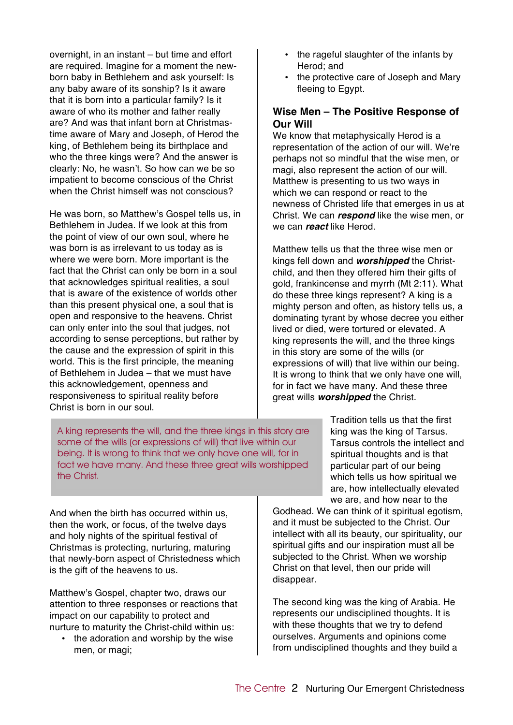overnight, in an instant – but time and effort are required. Imagine for a moment the newborn baby in Bethlehem and ask yourself: Is any baby aware of its sonship? Is it aware that it is born into a particular family? Is it aware of who its mother and father really are? And was that infant born at Christmastime aware of Mary and Joseph, of Herod the king, of Bethlehem being its birthplace and who the three kings were? And the answer is clearly: No, he wasn't. So how can we be so impatient to become conscious of the Christ when the Christ himself was not conscious?

He was born, so Matthew's Gospel tells us, in Bethlehem in Judea. If we look at this from the point of view of our own soul, where he was born is as irrelevant to us today as is where we were born. More important is the fact that the Christ can only be born in a soul that acknowledges spiritual realities, a soul that is aware of the existence of worlds other than this present physical one, a soul that is open and responsive to the heavens. Christ can only enter into the soul that judges, not according to sense perceptions, but rather by the cause and the expression of spirit in this world. This is the first principle, the meaning of Bethlehem in Judea – that we must have this acknowledgement, openness and responsiveness to spiritual reality before Christ is born in our soul.

A king represents the will, and the three kings in this story are some of the wills (or expressions of will) that live within our being. It is wrong to think that we only have one will, for in fact we have many. And these three great wills worshipped the Christ.

And when the birth has occurred within us, then the work, or focus, of the twelve days and holy nights of the spiritual festival of Christmas is protecting, nurturing, maturing that newly-born aspect of Christedness which is the gift of the heavens to us.

Matthew's Gospel, chapter two, draws our attention to three responses or reactions that impact on our capability to protect and nurture to maturity the Christ-child within us:

• the adoration and worship by the wise men, or magi;

- the rageful slaughter of the infants by Herod; and
- the protective care of Joseph and Mary fleeing to Egypt.

### **Wise Men – The Positive Response of Our Will**

We know that metaphysically Herod is a representation of the action of our will. We're perhaps not so mindful that the wise men, or magi, also represent the action of our will. Matthew is presenting to us two ways in which we can respond or react to the newness of Christed life that emerges in us at Christ. We can *respond* like the wise men, or we can *react* like Herod.

Matthew tells us that the three wise men or kings fell down and *worshipped* the Christchild, and then they offered him their gifts of gold, frankincense and myrrh (Mt 2:11). What do these three kings represent? A king is a mighty person and often, as history tells us, a dominating tyrant by whose decree you either lived or died, were tortured or elevated. A king represents the will, and the three kings in this story are some of the wills (or expressions of will) that live within our being. It is wrong to think that we only have one will, for in fact we have many. And these three great wills *worshipped* the Christ.

> Tradition tells us that the first king was the king of Tarsus. Tarsus controls the intellect and spiritual thoughts and is that particular part of our being which tells us how spiritual we are, how intellectually elevated we are, and how near to the

Godhead. We can think of it spiritual egotism, and it must be subjected to the Christ. Our intellect with all its beauty, our spirituality, our spiritual gifts and our inspiration must all be subjected to the Christ. When we worship Christ on that level, then our pride will disappear.

The second king was the king of Arabia. He represents our undisciplined thoughts. It is with these thoughts that we try to defend ourselves. Arguments and opinions come from undisciplined thoughts and they build a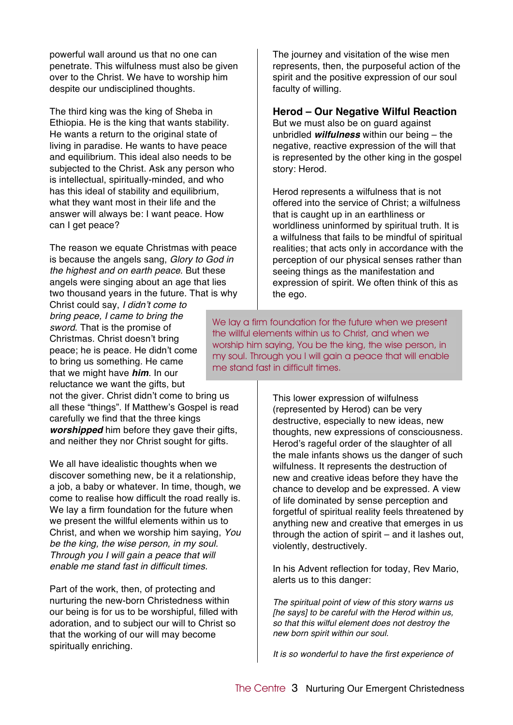powerful wall around us that no one can penetrate. This wilfulness must also be given over to the Christ. We have to worship him despite our undisciplined thoughts.

The third king was the king of Sheba in Ethiopia. He is the king that wants stability. He wants a return to the original state of living in paradise. He wants to have peace and equilibrium. This ideal also needs to be subjected to the Christ. Ask any person who is intellectual, spiritually-minded, and who has this ideal of stability and equilibrium, what they want most in their life and the answer will always be: I want peace. How can I get peace?

The reason we equate Christmas with peace is because the angels sang, *Glory to God in the highest and on earth peace*. But these angels were singing about an age that lies two thousand years in the future. That is why

Christ could say, *I didn*'*t come to bring peace, I came to bring the sword*. That is the promise of Christmas. Christ doesn't bring peace; he is peace. He didn't come to bring us something. He came that we might have *him*. In our reluctance we want the gifts, but

not the giver. Christ didn't come to bring us all these "things". If Matthew's Gospel is read carefully we find that the three kings *worshipped* him before they gave their gifts. and neither they nor Christ sought for gifts.

We all have idealistic thoughts when we discover something new, be it a relationship, a job, a baby or whatever. In time, though, we come to realise how difficult the road really is. We lay a firm foundation for the future when we present the willful elements within us to Christ, and when we worship him saying, *You be the king, the wise person, in my soul. Through you I will gain a peace that will enable me stand fast in difficult times.*

Part of the work, then, of protecting and nurturing the new-born Christedness within our being is for us to be worshipful, filled with adoration, and to subject our will to Christ so that the working of our will may become spiritually enriching.

The journey and visitation of the wise men represents, then, the purposeful action of the spirit and the positive expression of our soul faculty of willing.

#### **Herod – Our Negative Wilful Reaction**

But we must also be on guard against unbridled *wilfulness* within our being – the negative, reactive expression of the will that is represented by the other king in the gospel story: Herod.

Herod represents a wilfulness that is not offered into the service of Christ; a wilfulness that is caught up in an earthliness or worldliness uninformed by spiritual truth. It is a wilfulness that fails to be mindful of spiritual realities; that acts only in accordance with the perception of our physical senses rather than seeing things as the manifestation and expression of spirit. We often think of this as the ego.

We lay a firm foundation for the future when we present the willful elements within us to Christ, and when we worship him saying, You be the king, the wise person, in my soul. Through you I will gain a peace that will enable me stand fast in difficult times.

> This lower expression of wilfulness (represented by Herod) can be very destructive, especially to new ideas, new thoughts, new expressions of consciousness. Herod's rageful order of the slaughter of all the male infants shows us the danger of such wilfulness. It represents the destruction of new and creative ideas before they have the chance to develop and be expressed. A view of life dominated by sense perception and forgetful of spiritual reality feels threatened by anything new and creative that emerges in us through the action of spirit – and it lashes out, violently, destructively.

In his Advent reflection for today, Rev Mario, alerts us to this danger:

*The spiritual point of view of this story warns us [he says] to be careful with the Herod within us, so that this wilful element does not destroy the new born spirit within our soul.*

*It is so wonderful to have the first experience of*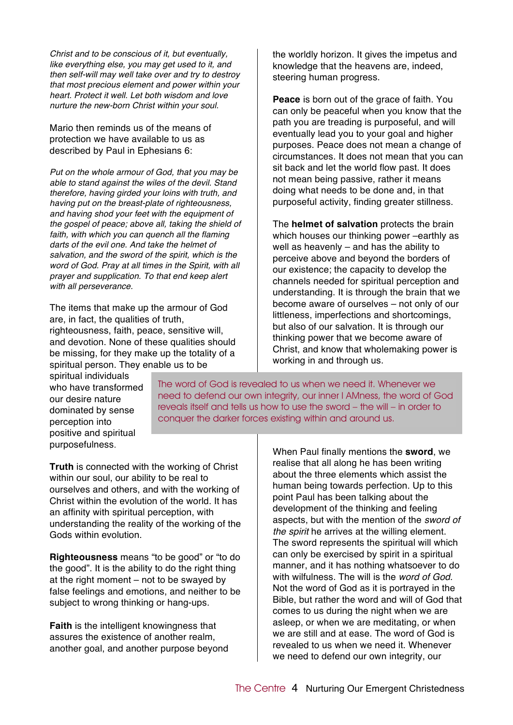*Christ and to be conscious of it, but eventually, like everything else, you may get used to it, and then self-will may well take over and try to destroy that most precious element and power within your heart. Protect it well. Let both wisdom and love nurture the new-born Christ within your soul.*

Mario then reminds us of the means of protection we have available to us as described by Paul in Ephesians 6:

*Put on the whole armour of God, that you may be able to stand against the wiles of the devil. Stand therefore, having girded your loins with truth, and having put on the breast-plate of righteousness, and having shod your feet with the equipment of the gospel of peace; above all, taking the shield of faith, with which you can quench all the flaming darts of the evil one. And take the helmet of salvation, and the sword of the spirit, which is the word of God. Pray at all times in the Spirit, with all prayer and supplication. To that end keep alert with all perseverance.*

The items that make up the armour of God are, in fact, the qualities of truth, righteousness, faith, peace, sensitive will, and devotion. None of these qualities should be missing, for they make up the totality of a spiritual person. They enable us to be

the worldly horizon. It gives the impetus and knowledge that the heavens are, indeed, steering human progress.

**Peace** is born out of the grace of faith. You can only be peaceful when you know that the path you are treading is purposeful, and will eventually lead you to your goal and higher purposes. Peace does not mean a change of circumstances. It does not mean that you can sit back and let the world flow past. It does not mean being passive, rather it means doing what needs to be done and, in that purposeful activity, finding greater stillness.

The **helmet of salvation** protects the brain which houses our thinking power –earthly as well as heavenly – and has the ability to perceive above and beyond the borders of our existence; the capacity to develop the channels needed for spiritual perception and understanding. It is through the brain that we become aware of ourselves – not only of our littleness, imperfections and shortcomings, but also of our salvation. It is through our thinking power that we become aware of Christ, and know that wholemaking power is working in and through us.

spiritual individuals who have transformed our desire nature dominated by sense perception into positive and spiritual purposefulness.

The word of God is revealed to us when we need it. Whenever we need to defend our own integrity, our inner I AMness, the word of God reveals itself and tells us how to use the sword – the will – in order to conquer the darker forces existing within and around us.

**Truth** is connected with the working of Christ within our soul, our ability to be real to ourselves and others, and with the working of Christ within the evolution of the world. It has an affinity with spiritual perception, with understanding the reality of the working of the Gods within evolution.

**Righteousness** means "to be good" or "to do the good". It is the ability to do the right thing at the right moment – not to be swayed by false feelings and emotions, and neither to be subject to wrong thinking or hang-ups.

**Faith** is the intelligent knowingness that assures the existence of another realm, another goal, and another purpose beyond When Paul finally mentions the **sword**, we realise that all along he has been writing about the three elements which assist the human being towards perfection. Up to this point Paul has been talking about the development of the thinking and feeling aspects, but with the mention of the *sword of the spirit* he arrives at the willing element. The sword represents the spiritual will which can only be exercised by spirit in a spiritual manner, and it has nothing whatsoever to do with wilfulness. The will is the *word of God*. Not the word of God as it is portrayed in the Bible, but rather the word and will of God that comes to us during the night when we are asleep, or when we are meditating, or when we are still and at ease. The word of God is revealed to us when we need it. Whenever we need to defend our own integrity, our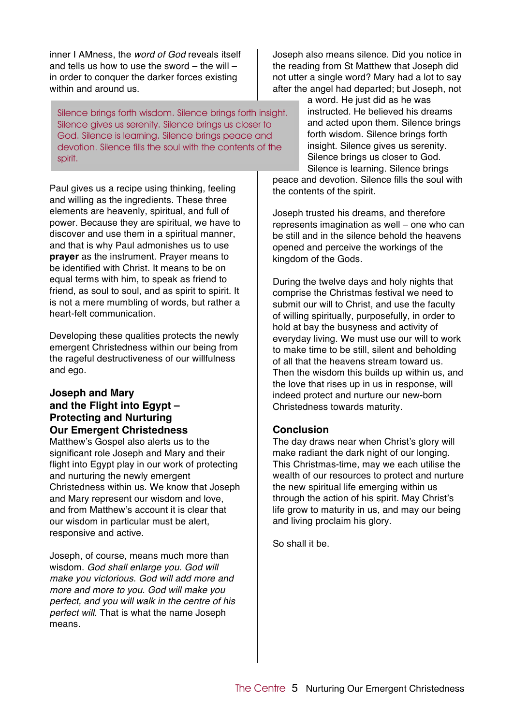inner I AMness, the *word of God* reveals itself and tells us how to use the sword – the will – in order to conquer the darker forces existing within and around us.

Silence brings forth wisdom. Silence brings forth insight. Silence gives us serenity. Silence brings us closer to God. Silence is learning. Silence brings peace and devotion. Silence fills the soul with the contents of the spirit.

Paul gives us a recipe using thinking, feeling and willing as the ingredients. These three elements are heavenly, spiritual, and full of power. Because they are spiritual, we have to discover and use them in a spiritual manner, and that is why Paul admonishes us to use **prayer** as the instrument. Prayer means to be identified with Christ. It means to be on equal terms with him, to speak as friend to friend, as soul to soul, and as spirit to spirit. It is not a mere mumbling of words, but rather a heart-felt communication.

Developing these qualities protects the newly emergent Christedness within our being from the rageful destructiveness of our willfulness and ego.

### **Joseph and Mary and the Flight into Egypt – Protecting and Nurturing Our Emergent Christedness**

Matthew's Gospel also alerts us to the significant role Joseph and Mary and their flight into Egypt play in our work of protecting and nurturing the newly emergent Christedness within us. We know that Joseph and Mary represent our wisdom and love, and from Matthew's account it is clear that our wisdom in particular must be alert, responsive and active.

Joseph, of course, means much more than wisdom. *God shall enlarge you. God will make you victorious. God will add more and more and more to you. God will make you perfect, and you will walk in the centre of his perfect will.* That is what the name Joseph means.

Joseph also means silence. Did you notice in the reading from St Matthew that Joseph did not utter a single word? Mary had a lot to say after the angel had departed; but Joseph, not

> a word. He just did as he was instructed. He believed his dreams and acted upon them. Silence brings forth wisdom. Silence brings forth insight. Silence gives us serenity. Silence brings us closer to God. Silence is learning. Silence brings

peace and devotion. Silence fills the soul with the contents of the spirit.

Joseph trusted his dreams, and therefore represents imagination as well – one who can be still and in the silence behold the heavens opened and perceive the workings of the kingdom of the Gods.

During the twelve days and holy nights that comprise the Christmas festival we need to submit our will to Christ, and use the faculty of willing spiritually, purposefully, in order to hold at bay the busyness and activity of everyday living. We must use our will to work to make time to be still, silent and beholding of all that the heavens stream toward us. Then the wisdom this builds up within us, and the love that rises up in us in response, will indeed protect and nurture our new-born Christedness towards maturity.

## **Conclusion**

The day draws near when Christ's glory will make radiant the dark night of our longing. This Christmas-time, may we each utilise the wealth of our resources to protect and nurture the new spiritual life emerging within us through the action of his spirit. May Christ's life grow to maturity in us, and may our being and living proclaim his glory.

So shall it be.